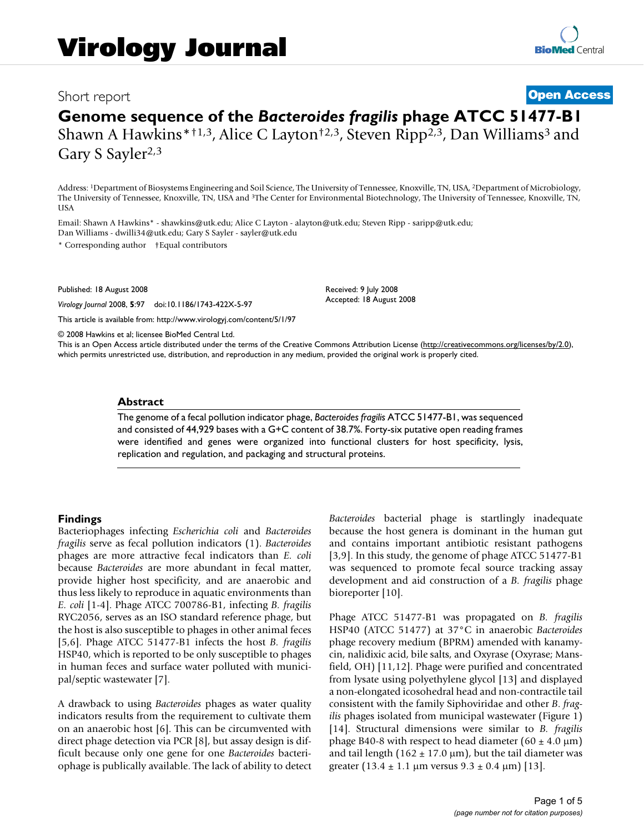# Short report **[Open Access](http://www.biomedcentral.com/info/about/charter/)**

# **Genome sequence of the** *Bacteroides fragilis* **phage ATCC 51477-B1** Shawn A Hawkins\*<sup>†1,3</sup>, Alice C Layton<sup>†2,3</sup>, Steven Ripp<sup>2,3</sup>, Dan Williams<sup>3</sup> and Gary S Sayler<sup>2,3</sup>

Address: 1Department of Biosystems Engineering and Soil Science, The University of Tennessee, Knoxville, TN, USA, 2Department of Microbiology, The University of Tennessee, Knoxville, TN, USA and 3The Center for Environmental Biotechnology, The University of Tennessee, Knoxville, TN, **USA** 

Email: Shawn A Hawkins\* - shawkins@utk.edu; Alice C Layton - alayton@utk.edu; Steven Ripp - saripp@utk.edu; Dan Williams - dwilli34@utk.edu; Gary S Sayler - sayler@utk.edu

\* Corresponding author †Equal contributors

Published: 18 August 2008

*Virology Journal* 2008, **5**:97 doi:10.1186/1743-422X-5-97

[This article is available from: http://www.virologyj.com/content/5/1/97](http://www.virologyj.com/content/5/1/97)

© 2008 Hawkins et al; licensee BioMed Central Ltd.

This is an Open Access article distributed under the terms of the Creative Commons Attribution License [\(http://creativecommons.org/licenses/by/2.0\)](http://creativecommons.org/licenses/by/2.0), which permits unrestricted use, distribution, and reproduction in any medium, provided the original work is properly cited.

Received: 9 July 2008 Accepted: 18 August 2008

#### **Abstract**

The genome of a fecal pollution indicator phage, *Bacteroides fragilis* ATCC 51477-B1, was sequenced and consisted of 44,929 bases with a G+C content of 38.7%. Forty-six putative open reading frames were identified and genes were organized into functional clusters for host specificity, lysis, replication and regulation, and packaging and structural proteins.

## **Findings**

Bacteriophages infecting *Escherichia coli* and *Bacteroides fragilis* serve as fecal pollution indicators (1). *Bacteroides* phages are more attractive fecal indicators than *E. coli* because *Bacteroides* are more abundant in fecal matter, provide higher host specificity, and are anaerobic and thus less likely to reproduce in aquatic environments than *E. coli* [1-4]. Phage ATCC 700786-B1, infecting *B. fragilis* RYC2056, serves as an ISO standard reference phage, but the host is also susceptible to phages in other animal feces [5,6]. Phage ATCC 51477-B1 infects the host *B. fragilis* HSP40, which is reported to be only susceptible to phages in human feces and surface water polluted with municipal/septic wastewater [7].

A drawback to using *Bacteroides* phages as water quality indicators results from the requirement to cultivate them on an anaerobic host [6]. This can be circumvented with direct phage detection via PCR [8], but assay design is difficult because only one gene for one *Bacteroides* bacteriophage is publically available. The lack of ability to detect *Bacteroides* bacterial phage is startlingly inadequate because the host genera is dominant in the human gut and contains important antibiotic resistant pathogens [3,9]. In this study, the genome of phage ATCC 51477-B1 was sequenced to promote fecal source tracking assay development and aid construction of a *B. fragilis* phage bioreporter [10].

Phage ATCC 51477-B1 was propagated on *B. fragilis* HSP40 (ATCC 51477) at 37°C in anaerobic *Bacteroides* phage recovery medium (BPRM) amended with kanamycin, nalidixic acid, bile salts, and Oxyrase (Oxyrase; Mansfield, OH) [11,12]. Phage were purified and concentrated from lysate using polyethylene glycol [13] and displayed a non-elongated icosohedral head and non-contractile tail consistent with the family Siphoviridae and other *B*. *fragilis* phages isolated from municipal wastewater (Figure 1) [14]. Structural dimensions were similar to *B. fragilis* phage B40-8 with respect to head diameter  $(60 \pm 4.0 \,\mu m)$ and tail length  $(162 \pm 17.0 \,\mu\text{m})$ , but the tail diameter was greater  $(13.4 \pm 1.1 \,\text{\mu m} \text{ versus } 9.3 \pm 0.4 \,\text{\mu m})$  [13].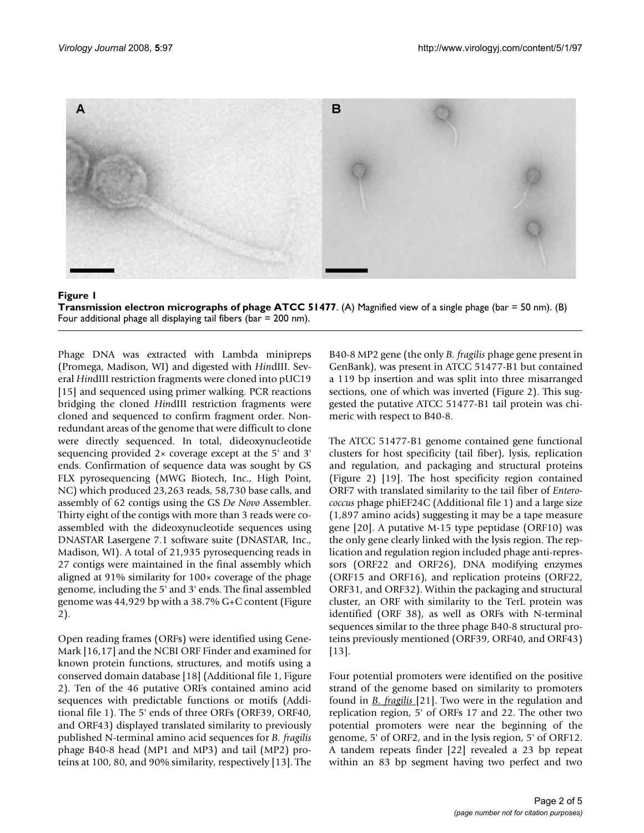

#### Figure 1 **Transmission electron micrographs of phage ATCC 51477.** (A) Magnified view of a single phage (bar = 50 nm). (B) Four additional phage all displaying tail fibers (bar = 200 nm).

Phage DNA was extracted with Lambda minipreps (Promega, Madison, WI) and digested with *Hin*dIII. Several *Hin*dIII restriction fragments were cloned into pUC19 [15] and sequenced using primer walking. PCR reactions bridging the cloned *Hin*dIII restriction fragments were cloned and sequenced to confirm fragment order. Nonredundant areas of the genome that were difficult to clone were directly sequenced. In total, dideoxynucleotide sequencing provided 2× coverage except at the 5' and 3' ends. Confirmation of sequence data was sought by GS FLX pyrosequencing (MWG Biotech, Inc., High Point, NC) which produced 23,263 reads, 58,730 base calls, and assembly of 62 contigs using the GS *De Novo* Assembler. Thirty eight of the contigs with more than 3 reads were coassembled with the dideoxynucleotide sequences using DNASTAR Lasergene 7.1 software suite (DNASTAR, Inc., Madison, WI). A total of 21,935 pyrosequencing reads in 27 contigs were maintained in the final assembly which aligned at 91% similarity for 100× coverage of the phage genome, including the 5' and 3' ends. The final assembled genome was 44,929 bp with a 38.7% G+C content (Figure 2).

Open reading frames (ORFs) were identified using Gene-Mark [16,17] and the NCBI ORF Finder and examined for known protein functions, structures, and motifs using a conserved domain database [18] (Additional file 1, Figure 2). Ten of the 46 putative ORFs contained amino acid sequences with predictable functions or motifs (Additional file 1). The 5' ends of three ORFs (ORF39, ORF40, and ORF43) displayed translated similarity to previously published N-terminal amino acid sequences for *B. fragilis* phage B40-8 head (MP1 and MP3) and tail (MP2) proteins at 100, 80, and 90% similarity, respectively [13]. The B40-8 MP2 gene (the only *B. fragilis* phage gene present in GenBank), was present in ATCC 51477-B1 but contained a 119 bp insertion and was split into three misarranged sections, one of which was inverted (Figure 2). This suggested the putative ATCC 51477-B1 tail protein was chimeric with respect to B40-8.

The ATCC 51477-B1 genome contained gene functional clusters for host specificity (tail fiber), lysis, replication and regulation, and packaging and structural proteins (Figure 2) [19]. The host specificity region contained ORF7 with translated similarity to the tail fiber of *Enterococcus* phage phiEF24C (Additional file 1) and a large size (1,897 amino acids) suggesting it may be a tape measure gene [20]. A putative M-15 type peptidase (ORF10) was the only gene clearly linked with the lysis region. The replication and regulation region included phage anti-repressors (ORF22 and ORF26), DNA modifying enzymes (ORF15 and ORF16), and replication proteins (ORF22, ORF31, and ORF32). Within the packaging and structural cluster, an ORF with similarity to the TerL protein was identified (ORF 38), as well as ORFs with N-terminal sequences similar to the three phage B40-8 structural proteins previously mentioned (ORF39, ORF40, and ORF43) [13].

Four potential promoters were identified on the positive strand of the genome based on similarity to promoters found in *B. fragilis* [21]. Two were in the regulation and replication region, 5' of ORFs 17 and 22. The other two potential promoters were near the beginning of the genome, 5' of ORF2, and in the lysis region, 5' of ORF12. A tandem repeats finder [22] revealed a 23 bp repeat within an 83 bp segment having two perfect and two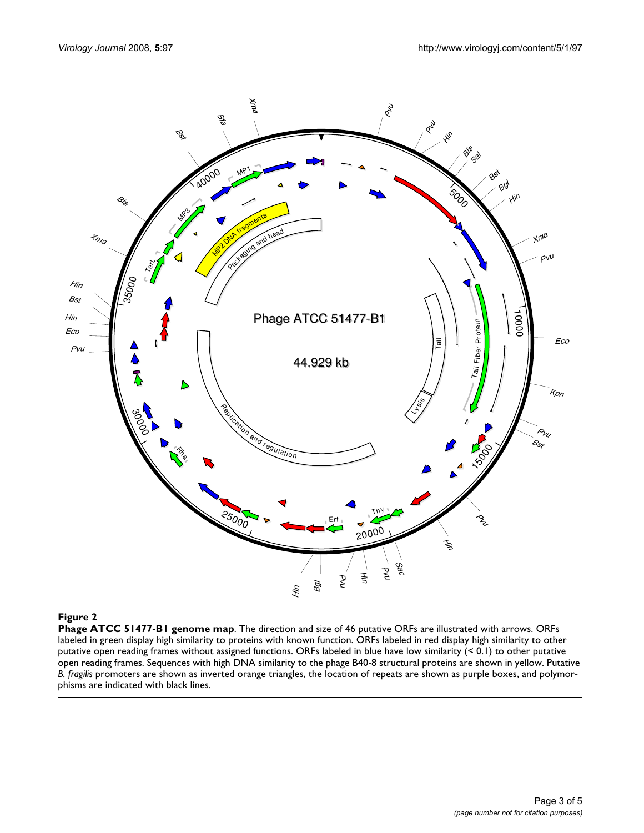

## **Figure 2**

**Phage ATCC 51477-B1 genome map**. The direction and size of 46 putative ORFs are illustrated with arrows. ORFs labeled in green display high similarity to proteins with known function. ORFs labeled in red display high similarity to other putative open reading frames without assigned functions. ORFs labeled in blue have low similarity (< 0.1) to other putative open reading frames. Sequences with high DNA similarity to the phage B40-8 structural proteins are shown in yellow. Putative *B. fragilis* promoters are shown as inverted orange triangles, the location of repeats are shown as purple boxes, and polymorphisms are indicated with black lines.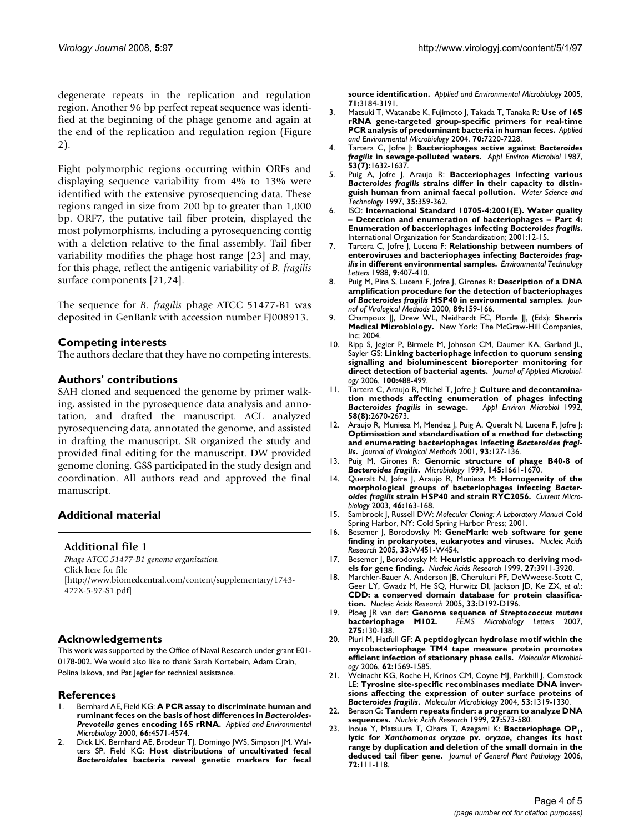degenerate repeats in the replication and regulation region. Another 96 bp perfect repeat sequence was identified at the beginning of the phage genome and again at the end of the replication and regulation region (Figure 2).

Eight polymorphic regions occurring within ORFs and displaying sequence variability from 4% to 13% were identified with the extensive pyrosequencing data. These regions ranged in size from 200 bp to greater than 1,000 bp. ORF7, the putative tail fiber protein, displayed the most polymorphisms, including a pyrosequencing contig with a deletion relative to the final assembly. Tail fiber variability modifies the phage host range [23] and may, for this phage, reflect the antigenic variability of *B. fragilis* surface components [21,24].

The sequence for *B. fragilis* phage ATCC 51477-B1 was deposited in GenBank with accession number [FJ008913](http://www.ncbi.nih.gov/entrez/query.fcgi?db=Nucleotide&cmd=search&term=FJ008913).

#### **Competing interests**

The authors declare that they have no competing interests.

#### **Authors' contributions**

SAH cloned and sequenced the genome by primer walking, assisted in the pyrosequence data analysis and annotation, and drafted the manuscript. ACL analyzed pyrosequencing data, annotated the genome, and assisted in drafting the manuscript. SR organized the study and provided final editing for the manuscript. DW provided genome cloning. GSS participated in the study design and coordination. All authors read and approved the final manuscript.

#### **Additional material**

**Additional file 1**

*Phage ATCC 51477-B1 genome organization.* Click here for file [\[http://www.biomedcentral.com/content/supplementary/1743-](http://www.biomedcentral.com/content/supplementary/1743-422X-5-97-S1.pdf) 422X-5-97-S1.pdf]

#### **Acknowledgements**

This work was supported by the Office of Naval Research under grant E01- 0178-002. We would also like to thank Sarah Kortebein, Adam Crain, Polina Iakova, and Pat Jegier for technical assistance.

#### **References**

- 1. Bernhard AE, Field KG: **A PCR assay to discriminate human and ruminant feces on the basis of host differences in** *Bacteroides***-***Prevotella* **genes encoding 16S rRNA.** *Applied and Environmental Microbiology* 2000, **66:**4571-4574.
- 2. Dick LK, Bernhard AE, Brodeur TJ, Domingo JWS, Simpson JM, Walters SP, Field KG: **Host distributions of uncultivated fecal** *Bacteroidales* **bacteria reveal genetic markers for fecal**

**source identification.** *Applied and Environmental Microbiology* 2005, **71:**3184-3191.

- 3. Matsuki T, Watanabe K, Fujimoto J, Takada T, Tanaka R: **Use of 16S rRNA gene-targeted group-specific primers for real-time PCR analysis of predominant bacteria in human feces.** *Applied and Environmental Microbiology* 2004, **70:**7220-7228.
- 4. Tartera C, Jofre J: **Bacteriophages active against** *Bacteroides fragilis* **[in sewage-polluted waters.](http://www.ncbi.nlm.nih.gov/entrez/query.fcgi?cmd=Retrieve&db=PubMed&dopt=Abstract&list_uids=3662510)** *Appl Environ Microbiol* 1987, **53(7):**1632-1637.
- 5. Puig A, Jofre J, Araujo R: **Bacteriophages infecting various** *Bacteroides fragilis* **strains differ in their capacity to distinguish human from animal faecal pollution.** *Water Science and Technology* 1997, **35:**359-362.
- 6. ISO: **International Standard 10705-4:2001(E). Water quality – Detection and enumeration of bacteriophages – Part 4: Enumeration of bacteriophages infecting** *Bacteroides fragilis***.** International Organization for Standardization; 2001:12-15.
- 7. Tartera C, Jofre J, Lucena F: **Relationship between numbers of enteroviruses and bacteriophages infecting** *Bacteroides fragilis* **in different environmental samples.** *Environmental Technology Letters* 1988, **9:**407-410.
- 8. Puig M, Pina S, Lucena F, Jofre J, Girones R: **Description of a DNA amplification procedure for the detection of bacteriophages of** *Bacteroides fragilis* **[HSP40 in environmental samples.](http://www.ncbi.nlm.nih.gov/entrez/query.fcgi?cmd=Retrieve&db=PubMed&dopt=Abstract&list_uids=10996649)** *Journal of Virological Methods* 2000, **89:**159-166.
- 9. Champoux JJ, Drew WL, Neidhardt FC, Plorde JJ, (Eds): **Sherris Medical Microbiology.** New York: The McGraw-Hill Companies, Inc; 2004.
- 10. Ripp S, Jegier P, Birmele M, Johnson CM, Daumer KA, Garland JL, Sayler GS: **[Linking bacteriophage infection to quorum sensing](http://www.ncbi.nlm.nih.gov/entrez/query.fcgi?cmd=Retrieve&db=PubMed&dopt=Abstract&list_uids=16478488) [signalling and bioluminescent bioreporter monitoring for](http://www.ncbi.nlm.nih.gov/entrez/query.fcgi?cmd=Retrieve&db=PubMed&dopt=Abstract&list_uids=16478488) [direct detection of bacterial agents.](http://www.ncbi.nlm.nih.gov/entrez/query.fcgi?cmd=Retrieve&db=PubMed&dopt=Abstract&list_uids=16478488)** *Journal of Applied Microbiology* 2006, **100:**488-499.
- 11. Tartera C, Araujo R, Michel T, Jofre J: **Culture and decontamination methods affecting enumeration of phages infecting** *Bacteroides fragilis* **[in sewage.](http://www.ncbi.nlm.nih.gov/entrez/query.fcgi?cmd=Retrieve&db=PubMed&dopt=Abstract&list_uids=1514815)** *Appl Environ Microbiol* 1992, **58(8):**2670-2673.
- 12. Araujo R, Muniesa M, Mendez J, Puig A, Queralt N, Lucena F, Jofre J: **Optimisation and standardisation of a method for detecting and enumerating bacteriophages infecting** *Bacteroides fragilis***[.](http://www.ncbi.nlm.nih.gov/entrez/query.fcgi?cmd=Retrieve&db=PubMed&dopt=Abstract&list_uids=11311351)** *Journal of Virological Methods* 2001, **93:**127-136.
- 13. Puig M, Girones R: **Genomic structure of phage B40-8 of** *Bacteroides fragilis***[.](http://www.ncbi.nlm.nih.gov/entrez/query.fcgi?cmd=Retrieve&db=PubMed&dopt=Abstract&list_uids=10439405)** *Microbiology* 1999, **145:**1661-1670.
- 14. Queralt N, Jofre J, Araujo R, Muniesa M: **Homogeneity of the morphological groups of bacteriophages infecting** *Bacteroides fragilis* **[strain HSP40 and strain RYC2056.](http://www.ncbi.nlm.nih.gov/entrez/query.fcgi?cmd=Retrieve&db=PubMed&dopt=Abstract&list_uids=12567237)** *Current Microbiology* 2003, **46:**163-168.
- 15. Sambrook J, Russell DW: *Molecular Cloning: A Laboratory Manual* Cold Spring Harbor, NY: Cold Spring Harbor Press; 2001.
- 16. Besemer J, Borodovsky M: **[GeneMark: web software for gene](http://www.ncbi.nlm.nih.gov/entrez/query.fcgi?cmd=Retrieve&db=PubMed&dopt=Abstract&list_uids=15980510) [finding in prokaryotes, eukaryotes and viruses.](http://www.ncbi.nlm.nih.gov/entrez/query.fcgi?cmd=Retrieve&db=PubMed&dopt=Abstract&list_uids=15980510)** *Nucleic Acids Research* 2005, **33:**W451-W454.
- 17. Besemer J, Borodovsky M: **[Heuristic approach to deriving mod](http://www.ncbi.nlm.nih.gov/entrez/query.fcgi?cmd=Retrieve&db=PubMed&dopt=Abstract&list_uids=10481031)[els for gene finding.](http://www.ncbi.nlm.nih.gov/entrez/query.fcgi?cmd=Retrieve&db=PubMed&dopt=Abstract&list_uids=10481031)** *Nucleic Acids Research* 1999, **27:**3911-3920.
- 18. Marchler-Bauer A, Anderson JB, Cherukuri PF, DeWweese-Scott C, Geer LY, Gwadz M, He SQ, Hurwitz DI, Jackson JD, Ke ZX, *et al.*: **[CDD: a conserved domain database for protein classifica](http://www.ncbi.nlm.nih.gov/entrez/query.fcgi?cmd=Retrieve&db=PubMed&dopt=Abstract&list_uids=15608175)[tion.](http://www.ncbi.nlm.nih.gov/entrez/query.fcgi?cmd=Retrieve&db=PubMed&dopt=Abstract&list_uids=15608175)** *Nucleic Acids Research* 2005, **33:**D192-D196.
- 19. Ploeg JR van der: **Genome sequence of** *Streptococcus mutans* **[bacteriophage M102.](http://www.ncbi.nlm.nih.gov/entrez/query.fcgi?cmd=Retrieve&db=PubMed&dopt=Abstract&list_uids=17711456)** *FEMS Microbiology Letters* 2007, **275:**130-138.
- 20. Piuri M, Hatfull GF: **[A peptidoglycan hydrolase motif within the](http://www.ncbi.nlm.nih.gov/entrez/query.fcgi?cmd=Retrieve&db=PubMed&dopt=Abstract&list_uids=17083467) [mycobacteriophage TM4 tape measure protein promotes](http://www.ncbi.nlm.nih.gov/entrez/query.fcgi?cmd=Retrieve&db=PubMed&dopt=Abstract&list_uids=17083467) [efficient infection of stationary phase cells.](http://www.ncbi.nlm.nih.gov/entrez/query.fcgi?cmd=Retrieve&db=PubMed&dopt=Abstract&list_uids=17083467)** *Molecular Microbiology* 2006, **62:**1569-1585.
- 21. Weinacht KG, Roche H, Krinos CM, Coyne MJ, Parkhill J, Comstock LE: **Tyrosine site-specific recombinases mediate DNA inversions affecting the expression of outer surface proteins of** *Bacteroides fragilis***[.](http://www.ncbi.nlm.nih.gov/entrez/query.fcgi?cmd=Retrieve&db=PubMed&dopt=Abstract&list_uids=15387812)** *Molecular Microbiology* 2004, **53:**1319-1330.
- 22. Benson G: **[Tandem repeats finder: a program to analyze DNA](http://www.ncbi.nlm.nih.gov/entrez/query.fcgi?cmd=Retrieve&db=PubMed&dopt=Abstract&list_uids=9862982) [sequences.](http://www.ncbi.nlm.nih.gov/entrez/query.fcgi?cmd=Retrieve&db=PubMed&dopt=Abstract&list_uids=9862982)** *Nucleic Acids Research* 1999, **27:**573-580.
- 23. Inoue Y, Matsuura T, Ohara T, Azegami K: Bacteriophage OP<sub>1</sub>, **lytic for** *Xanthomonas oryzae* **pv.** *oryzae***, changes its host range by duplication and deletion of the small domain in the deduced tail fiber gene.** *Journal of General Plant Pathology* 2006, **72:**111-118.